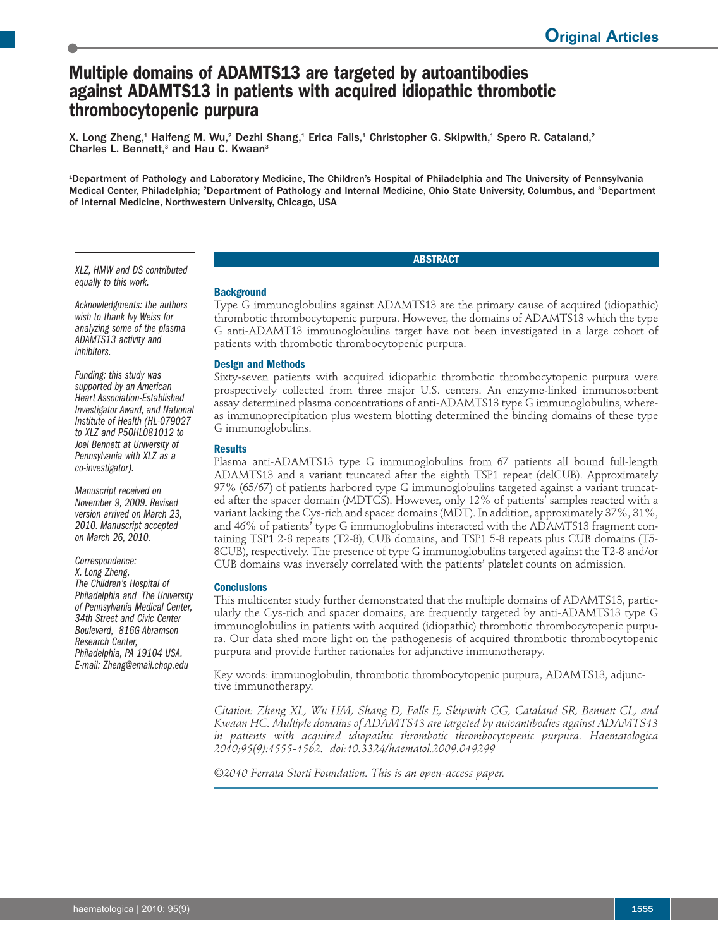# **Multiple domains of ADAMTS13 are targeted by autoantibodies against ADAMTS13 in patients with acquired idiopathic thrombotic thrombocytopenic purpura**

X. Long Zheng,<sup>1</sup> Haifeng M. Wu,<sup>2</sup> Dezhi Shang,<sup>1</sup> Erica Falls,<sup>1</sup> Christopher G. Skipwith,<sup>1</sup> Spero R. Cataland,<sup>2</sup> Charles L. Bennett,<sup>3</sup> and Hau C. Kwaan<sup>3</sup>

1 Department of Pathology and Laboratory Medicine, The Children's Hospital of Philadelphia and The University of Pennsylvania Medical Center, Philadelphia; <sup>2</sup>Department of Pathology and Internal Medicine, Ohio State University, Columbus, and <sup>3</sup>Department of Internal Medicine, Northwestern University, Chicago, USA

*XLZ, HMW and DS contributed equally to this work.*

*Acknowledgments: the authors wish to thank Ivy Weiss for analyzing some of the plasma ADAMTS13 activity and inhibitors.*

*Funding: this study was supported by an American Heart Association-Established Investigator Award, and National Institute of Health (HL-079027 to XLZ and P50HL081012 to Joel Bennett at University of Pennsylvania with XLZ as a co-investigator).*

*Manuscript received on November 9, 2009. Revised version arrived on March 23, 2010. Manuscript accepted on March 26, 2010.*

*Correspondence: X. Long Zheng, The Children's Hospital of Philadelphia and The University of Pennsylvania Medical Center, 34th Street and Civic Center Boulevard, 816G Abramson Research Center, Philadelphia, PA 19104 USA. E-mail: Zheng@email.chop.edu*

# **Background**

Type G immunoglobulins against ADAMTS13 are the primary cause of acquired (idiopathic) thrombotic thrombocytopenic purpura. However, the domains of ADAMTS13 which the type G anti-ADAMT13 immunoglobulins target have not been investigated in a large cohort of patients with thrombotic thrombocytopenic purpura.

**ABSTRACT**

# **Design and Methods**

Sixty-seven patients with acquired idiopathic thrombotic thrombocytopenic purpura were prospectively collected from three major U.S. centers. An enzyme-linked immunosorbent assay determined plasma concentrations of anti-ADAMTS13 type G immunoglobulins, whereas immunoprecipitation plus western blotting determined the binding domains of these type G immunoglobulins.

#### **Results**

Plasma anti-ADAMTS13 type G immunoglobulins from 67 patients all bound full-length ADAMTS13 and a variant truncated after the eighth TSP1 repeat (delCUB). Approximately 97% (65/67) of patients harbored type G immunoglobulins targeted against a variant truncated after the spacer domain (MDTCS). However, only 12% of patients' samples reacted with a variant lacking the Cys-rich and spacer domains (MDT). In addition, approximately 37%, 31%, and 46% of patients' type G immunoglobulins interacted with the ADAMTS13 fragment containing TSP1 2-8 repeats (T2-8), CUB domains, and TSP1 5-8 repeats plus CUB domains (T5- 8CUB), respectively. The presence of type G immunoglobulins targeted against the T2-8 and/or CUB domains was inversely correlated with the patients' platelet counts on admission.

#### **Conclusions**

This multicenter study further demonstrated that the multiple domains of ADAMTS13, particularly the Cys-rich and spacer domains, are frequently targeted by anti-ADAMTS13 type G immunoglobulins in patients with acquired (idiopathic) thrombotic thrombocytopenic purpura. Our data shed more light on the pathogenesis of acquired thrombotic thrombocytopenic purpura and provide further rationales for adjunctive immunotherapy.

Key words: immunoglobulin, thrombotic thrombocytopenic purpura, ADAMTS13, adjunctive immunotherapy.

*Citation: Zheng XL, Wu HM, Shang D, Falls E, Skipwith CG, Cataland SR, Bennett CL, and Kwaan HC. Multiple domains of ADAMTS13 are targeted by autoantibodies against ADAMTS13 in patients with acquired idiopathic thrombotic thrombocytopenic purpura. Haematologica 2010;95(9):1555-1562. doi:10.3324/haematol.2009.019299*

*©2010 Ferrata Storti Foundation. This is an open-access paper.*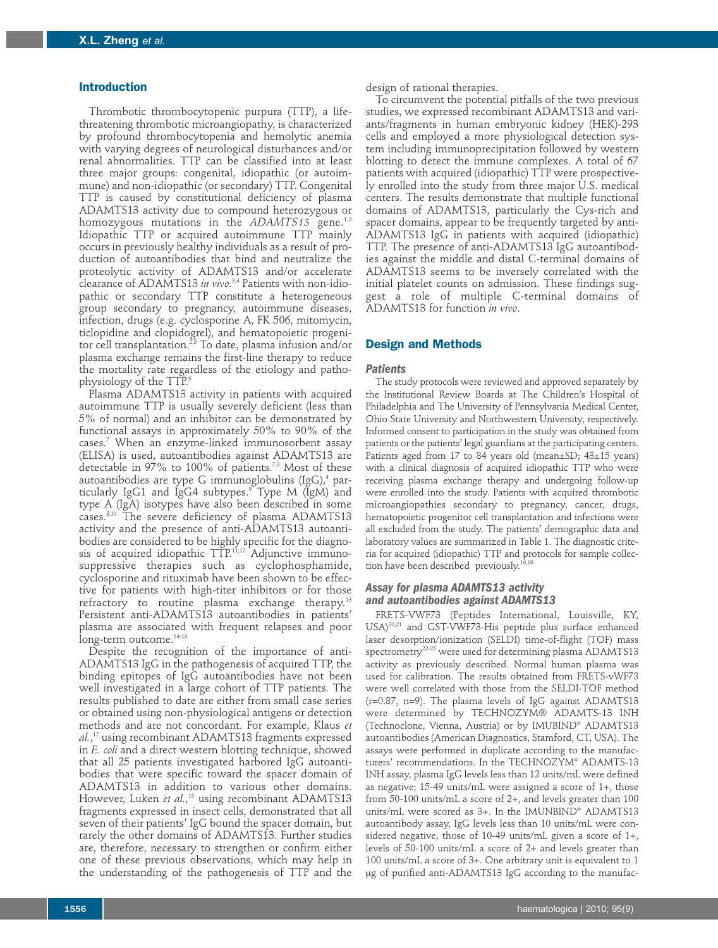#### **Introduction**

Thrombotic thrombocytopenic purpura (TTP), a lifethreatening thrombotic microangiopathy, is characterized by profound thrombocytopenia and hemolytic anemia with varying degrees of neurological disturbances and/or renal abnormalities. TTP can be classified into at least three major groups: congenital, idiopathic (or autoimmune) and non-idiopathic (or secondary) TTP. Congenital TTP is caused by constitutional deficiency of plasma ADAMTS13 activity due to compound heterozygous or homozygous mutations in the *ADAMTS13* gene. 1,2 Idiopathic TTP or acquired autoimmune TTP mainly occurs in previously healthy individuals as a result of production of autoantibodies that bind and neutralize the proteolytic activity of ADAMTS13 and/or accelerate clearance of ADAMTS13 *in vivo*. 3,4 Patients with non-idiopathic or secondary TTP constitute a heterogeneous group secondary to pregnancy, autoimmune diseases, infection, drugs (e.g. cyclosporine A, FK 506, mitomycin, ticlopidine and clopidogrel), and hematopoietic progenitor cell transplantation.<sup>2,5</sup> To date, plasma infusion and/or plasma exchange remains the first-line therapy to reduce the mortality rate regardless of the etiology and pathophysiology of the TTP. 6

Plasma ADAMTS13 activity in patients with acquired autoimmune TTP is usually severely deficient (less than 5% of normal) and an inhibitor can be demonstrated by functional assays in approximately 50% to 90% of the cases. <sup>7</sup> When an enzyme-linked immunosorbent assay (ELISA) is used, autoantibodies against ADAMTS13 are detectable in 97% to 100% of patients. 7,8 Most of these autoantibodies are type G immunoglobulins (IgG), <sup>4</sup> particularly IgG1 and IgG4 subtypes. <sup>9</sup> Type M (IgM) and type A (IgA) isotypes have also been described in some cases. 8,10 The severe deficiency of plasma ADAMTS13 activity and the presence of anti-ADAMTS13 autoantibodies are considered to be highly specific for the diagnosis of acquired idiopathic TTP. 11,12 Adjunctive immunosuppressive therapies such as cyclophosphamide, cyclosporine and rituximab have been shown to be effective for patients with high-titer inhibitors or for those refractory to routine plasma exchange therapy.<sup>13</sup> Persistent anti-ADAMTS13 autoantibodies in patients' plasma are associated with frequent relapses and poor long-term outcome. 14-16

Despite the recognition of the importance of anti-ADAMTS13 IgG in the pathogenesis of acquired TTP, the binding epitopes of IgG autoantibodies have not been well investigated in a large cohort of TTP patients. The results published to date are either from small case series or obtained using non-physiological antigens or detection methods and are not concordant. For example, Klaus *et al.*, <sup>17</sup> using recombinant ADAMTS13 fragments expressed in *E. coli* and a direct western blotting technique, showed that all 25 patients investigated harbored IgG autoantibodies that were specific toward the spacer domain of ADAMTS13 in addition to various other domains. However, Luken *et al.*, <sup>18</sup> using recombinant ADAMTS13 fragments expressed in insect cells, demonstrated that all seven of their patients' IgG bound the spacer domain, but rarely the other domains of ADAMTS13. Further studies are, therefore, necessary to strengthen or confirm either one of these previous observations, which may help in the understanding of the pathogenesis of TTP and the

design of rational therapies.

To circumvent the potential pitfalls of the two previous studies, we expressed recombinant ADAMTS13 and variants/fragments in human embryonic kidney (HEK)-293 cells and employed a more physiological detection system including immunoprecipitation followed by western blotting to detect the immune complexes. A total of 67 patients with acquired (idiopathic) TTP were prospectively enrolled into the study from three major U.S. medical centers. The results demonstrate that multiple functional domains of ADAMTS13, particularly the Cys-rich and spacer domains, appear to be frequently targeted by anti-ADAMTS13 IgG in patients with acquired (idiopathic) TTP. The presence of anti-ADAMTS13 IgG autoantibodies against the middle and distal C-terminal domains of ADAMTS13 seems to be inversely correlated with the initial platelet counts on admission. These findings suggest a role of multiple C-terminal domains of ADAMTS13 for function *in vivo*.

# **Design and Methods**

#### *Patients*

The study protocols were reviewed and approved separately by the Institutional Review Boards at The Children's Hospital of Philadelphia and The University of Pennsylvania Medical Center, Ohio State University and Northwestern University, respectively. Informed consent to participation in the study was obtained from patients or the patients' legal guardians at the participating centers. Patients aged from 17 to 84 years old (mean±SD; 43±15 years) with a clinical diagnosis of acquired idiopathic TTP who were receiving plasma exchange therapy and undergoing follow-up were enrolled into the study. Patients with acquired thrombotic microangiopathies secondary to pregnancy, cancer, drugs, hematopoietic progenitor cell transplantation and infections were all excluded from the study. The patients' demographic data and laboratory values are summarized in Table 1. The diagnostic criteria for acquired (idiopathic) TTP and protocols for sample collection have been described previously. 16,19

# *Assay for plasma ADAMTS13 activity and autoantibodies against ADAMTS13*

FRETS-VWF73 (Peptides International, Louisville, KY, USA)<sup>20,21</sup> and GST-VWF73-His peptide plus surface enhanced laser desorption/ionization (SELDI) time-of-flight (TOF) mass spectrometry<sup>22-25</sup> were used for determining plasma ADAMTS13 activity as previously described. Normal human plasma was used for calibration. The results obtained from FRETS-vWF73 were well correlated with those from the SELDI-TOF method (r=0.87, n=9). The plasma levels of IgG against ADAMTS13 were determined by TECHNOZYM® ADAMTS-13 INH (Technoclone, Vienna, Austria) or by IMUBIND® ADAMTS13 autoantibodies (American Diagnostics, Stamford, CT, USA). The assays were performed in duplicate according to the manufacturers' recommendations. In the TECHNOZYM® ADAMTS-13 INH assay, plasma IgG levels less than 12 units/mL were defined as negative; 15-49 units/mL were assigned a score of 1+, those from 50-100 units/mL a score of 2+, and levels greater than 100 units/mL were scored as 3+. In the IMUNBIND® ADAMTS13 autoantibody assay, IgG levels less than 10 units/mL were considered negative, those of 10-49 units/mL given a score of 1+, levels of 50-100 units/mL a score of 2+ and levels greater than 100 units/mL a score of 3+. One arbitrary unit is equivalent to 1 ug of purified anti-ADAMTS13 IgG according to the manufac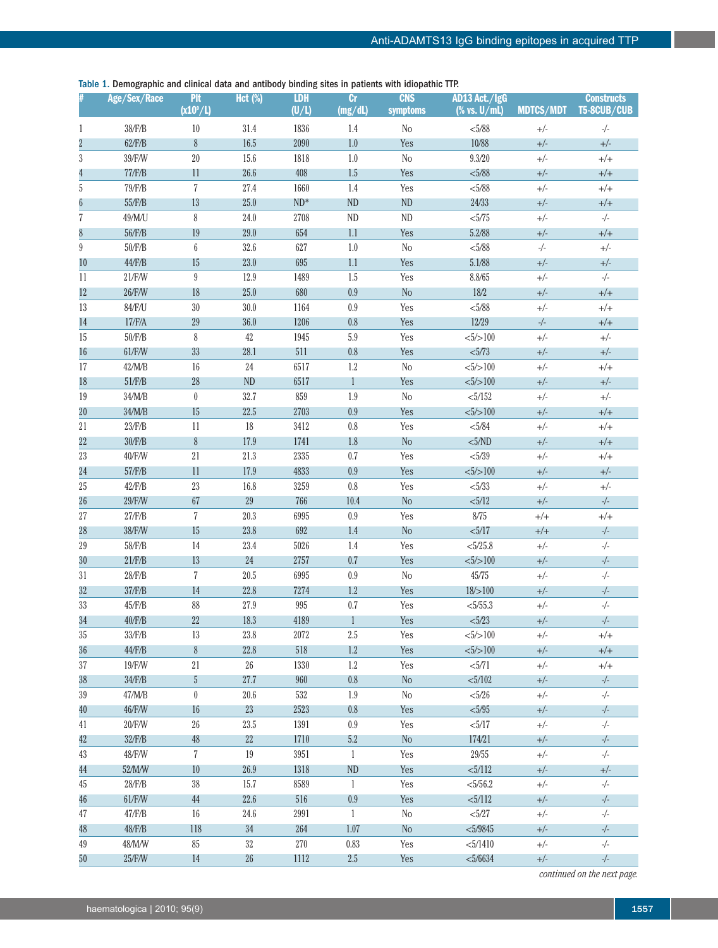Table 1. Demographic and clinical data and antibody binding sites in patients with idiopathic TTP.

|                  | Age/Sex/Race | <b>PIt</b><br>$(x10^\circ/L)$ | <b>Hct</b> (%) | <b>LDH</b><br>(U/L) | cr<br>(mg/dl) | <b>CNS</b><br>symptoms | AD13 Act./IgG<br>$% vs. U/mL)$ | <b>MDTCS/MDT</b> | <b>Constructs</b><br>T5-8CUB/CUB |
|------------------|--------------|-------------------------------|----------------|---------------------|---------------|------------------------|--------------------------------|------------------|----------------------------------|
| 1                | 38/F/B       | 10                            | 31.4           | 1836                | 1.4           | $\rm No$               | < 5/88                         | $+/-$            | $-/-$                            |
|                  | $62$ /F/B    | 8                             | 16.5           | 2090                | 1.0           | Yes                    | 10/88                          | $+/-$            | $+/-$                            |
| $\sqrt{3}$       | 39/F/W       | $20\,$                        | 15.6           | 1818                | 1.0           | $\rm No$               | 9.3/20                         | $+/-$            | $+/+$                            |
| 4                | 77/F/B       | 11                            | 26.6           | 408                 | 1.5           | Yes                    | < 5/88                         | $+/-$            | $+/+$                            |
| $\sqrt{5}$       | 79/F/B       | $\overline{7}$                | 27.4           | 1660                | 1.4           | Yes                    | < 5/88                         | $+/-$            | $^{+/+}$                         |
| 6                | 55/F/B       | 13                            | 25.0           | $ND^*$              | <b>ND</b>     | <b>ND</b>              | 24/33                          | $+/-$            | $+/+$                            |
| $\sqrt{7}$       | 49/M/U       | $\,8\,$                       | 24.0           | 2708                | <b>ND</b>     | <b>ND</b>              | < 5/75                         | $+/-$            | $-/-$                            |
| 8                | 56/F/B       | 19                            | 29.0           | 654                 | 1.1           | Yes                    | 5.2/88                         | $+/-$            | $+/+$                            |
| $\boldsymbol{9}$ | $50$ /F/B    | $\boldsymbol{6}$              | 32.6           | 627                 | 1.0           | N <sub>0</sub>         | < 5/88                         | $-/-$            | $+/-$                            |
| 10               | $44$ /F/B    | 15                            | 23.0           | 695                 | 1.1           | Yes                    | 5.1/88                         | $+/-$            | $+/-$                            |
| 11               | 21/F/W       | $9\,$                         | 12.9           | 1489                | 1.5           | Yes                    | 8.8/65                         | $+/-$            | $-/-$                            |
| 12               | 26/F/W       | 18                            | 25.0           | 680                 | 0.9           | No                     | 18/2                           | $+/-$            | $+/+$                            |
| 13               | 84/F/U       | $30\,$                        | 30.0           | 1164                | 0.9           | Yes                    | < 5/88                         | $+/-$            | $+/+$                            |
| 14               | 17/F/A       | $29\,$                        | 36.0           | 1206                | 0.8           | Yes                    | 12/29                          | $-/-$            | $+/+$                            |
| 15               | 50/F/B       | 8                             | 42             | 1945                | $5.9\,$       | Yes                    | $<\!\!\frac{5}{>}\!\!100$      | $+/-$            | $+/-$                            |
| 16               | 61/F/W       | 33                            | 28.1           | 511                 | 0.8           | Yes                    | < 5/73                         | $+/-$            | $+/-$                            |
| 17               | 42/M/B       | $16\,$                        | 24             | 6517                | 1.2           | No                     | $<\!\!\frac{5}{>}\!\!100$      | $+/-$            | $+/+$                            |
| 18               | 51/F/B       | $\sqrt{28}$                   | <b>ND</b>      | 6517                | 1             | Yes                    | $<\!\!\frac{5}{>}\!\!100$      | $+/-$            | $+/-$                            |
| 19               | 34/M/B       | $\boldsymbol{0}$              | 32.7           | 859                 | 1.9           | $\rm No$               | $<\!\!5/152$                   | $+/-$            | $+/-$                            |
| 20               | 34/M/B       | 15                            | 22.5           | 2703                | 0.9           | Yes                    | $<\!\!\frac{5}{>}\!\!100$      | $+/-$            | $+/+$                            |
| $21\,$           | 23/F/B       | $11\,$                        | 18             | 3412                | 0.8           | Yes                    | < 5/84                         | $+/-$            | $+/+$                            |
| $22\,$           | $30$ /F/B    | $8\,$                         | 17.9           | 1741                | 1.8           | No                     | $5/ND$                         | $+/-$            | $+/+$                            |
| $23\,$           | 40/F/W       | $21\,$                        | 21.3           | 2335                | 0.7           | Yes                    | < 5/39                         | $+/-$            | $+/+$                            |
| 24               | 57/F/B       | 11                            | 17.9           | 4833                | 0.9           | Yes                    | $<\!\!\frac{5}{>}\!\!100$      | $+/-$            | $+/-$                            |
| $25\,$           | $42$ /F/B    | $23\,$                        | 16.8           | 3259                | $0.8\,$       | Yes                    | < 5/33                         | $+/-$            | $+/-$                            |
| 26               | 29/F/W       | $67\,$                        | 29             | 766                 | 10.4          | No                     | < 5/12                         | $+/-$            | $-/-$                            |
| $27\,$           | $27$ /F/B    | 7                             | 20.3           | 6995                | 0.9           | Yes                    | $8/75\,$                       | $+/+$            | $^{+/+}$                         |
| 28               | 38/F/W       | 15                            | 23.8           | 692                 | 1.4           | No                     | < 5/17                         | $+/+$            | $-/-$                            |
| $29\,$           | 58/F/B       | 14                            | 23.4           | 5026                | 1.4           | Yes                    | $<\!\!5/25.8$                  | $+/-$            | $-/-$                            |
| 30               | $21$ / $FR$  | 13                            | 24             | 2757                | 0.7           | Yes                    | $<\!\!\!5\!\!/\!\!>\!\!100$    | $+/-$            | $-/-$                            |
| $31\,$           | $28$ /F/B    | $\overline{7}$                | 20.5           | 6995                | 0.9           | No                     | $45/75\,$                      | $+/-$            | $-/-$                            |
| $32\,$           | 37/F/B       | 14                            | 22.8           | 7274                | 1.2           | Yes                    | 18/>100                        | $+/-$            | -/-                              |
| $33\,$           | 45/F/B       | 88                            | 27.9           | 995                 | $0.7\,$       | Yes                    | $<\!\!5/55.3$                  | $+/-$            | $-/-$                            |
| 34               | $40$ /F/B    | 22                            | 18.3           | 4189                | 1             | Yes                    | < 5/23                         | $+/-$            | $-/-$                            |
| $35\,$           | 33/F/B       | 13                            | 23.8           | 2072                | $2.5\,$       | Yes                    | $<\!\!\frac{5}{>}\!\!100$      | $+/-$            | $+/+$                            |
| 36               | $44$ /F/B    | $\boldsymbol{\delta}$         | 22.8           | 518                 | 1.2           | Yes                    | $<\!\!\frac{5}{>}\!\!100$      | $+/-$            | $+/+$                            |
| 37               | 19/F/W       | 21                            | $26\,$         | 1330                | 1.2           | Yes                    | < 5/71                         | $+/-$            | $+/+$                            |
| 38               | 34/F/B       | 5                             | 27.7           | 960                 | 0.8           | $\rm No$               | $<\!\!5/102$                   | $+/-$            | $-/-$                            |
| $39\,$           | 47/M/B       | $\boldsymbol{0}$              | 20.6           | 532                 | 1.9           | $\rm No$               | < 5/26                         | $+/-$            | $-/-$                            |
| 40               | 46/F/W       | 16                            | 23             | 2523                | 0.8           | Yes                    | < 5/95                         | $+/-$            | $-/-$                            |
| 41               | 20/F/W       | $26\,$                        | 23.5           | 1391                | 0.9           | Yes                    | < 5/17                         | $+/-$            | $-/-$                            |
| 42               | 32/F/B       | 48                            | 22             | 1710                | 5.2           | No                     | 174/21                         | $+/-$            | $-/-$                            |
| 43               | 48/F/W       | $\overline{7}$                | 19             | 3951                | $\mathbf{1}$  | Yes                    | $29/55\,$                      | $+/-$            | $-/-$                            |
| 44               | 52/M/W       | 10                            | 26.9           | 1318                | <b>ND</b>     | Yes                    | < 5/112                        | $+/-$            | $+/-$                            |
| 45               | 28/F/B       | $38\,$                        | 15.7           | 8589                | $\mathbf{1}$  | Yes                    | $<\!\!5/56.2$                  | $+/-$            | $-/-$                            |
| 46               | 61/F/W       | 44                            | 22.6           | 516                 | 0.9           | Yes                    | < 5/112                        | $+/-$            | $-/-$                            |
| 47               | 47/F/B       | 16                            | 24.6           | 2991                | $\mathbf{1}$  | No                     | < 5/27                         | $+/-$            | $-/-$                            |
| 48               | $48$ /F/B    | 118                           | 34             | 264                 | 1.07          | No                     | $<\!\!5/9845$                  | $+/-$            | $-/-$                            |
| 49               | 48/M/W       | $85\,$                        | $32\,$         | 270                 | 0.83          | Yes                    | < 5/1410                       | $+/-$            | $-/-$                            |
| 50               | 25/F/W       | 14                            | 26             | 1112                | 2.5           | Yes                    | < 5/6634                       | $+/-$            | $-/-$                            |

*continued on the next page.*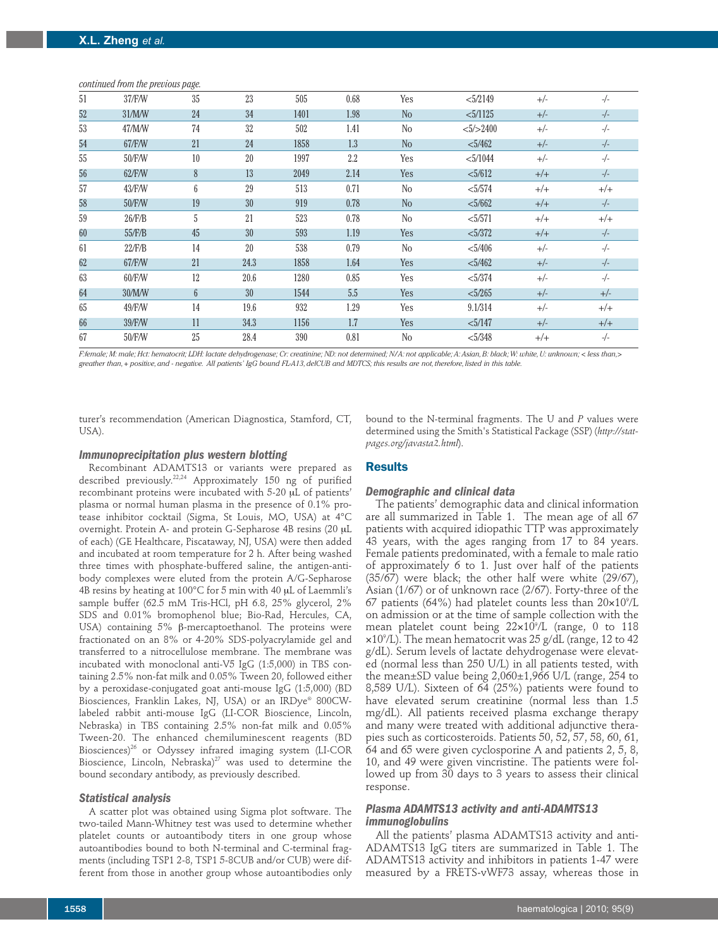| 51 | 37/F/W        | 35              | 23   | 505  | 0.68 | Yes            | <5/2149                    | $+/-$ | $-/-$    |
|----|---------------|-----------------|------|------|------|----------------|----------------------------|-------|----------|
| 52 | 31/M/W        | 24              | 34   | 1401 | 1.98 | N <sub>o</sub> | $<\frac{5}{1125}$          | $+/-$ | $-/-$    |
| 53 | 47/M/W        | 74              | 32   | 502  | 1.41 | N <sub>o</sub> | $<\!\!\frac{5}{>}\!\!2400$ | $+/-$ | $-/-$    |
| 54 | 67/F/W        | 21              | 24   | 1858 | 1.3  | N <sub>o</sub> | $<\!\!5/462$               | $+/-$ | $-/-$    |
| 55 | 50/F/W        | 10              | 20   | 1997 | 2.2  | Yes            | $<$ 5/1044                 | $+/-$ | $-/-$    |
| 56 | 62/F/W        | 8               | 13   | 2049 | 2.14 | Yes            | < 5/612                    | $+/-$ | $-/-$    |
| 57 | 43/F/W        | 6               | 29   | 513  | 0.71 | N <sub>0</sub> | $<\!\!5/574$               | $+/+$ | $+/+$    |
| 58 | 50/F/W        | 19              | 30   | 919  | 0.78 | N <sub>o</sub> | < 5/662                    | $+/+$ | $-/-$    |
| 59 | $26$ /F/B     | 5               | 21   | 523  | 0.78 | N <sub>o</sub> | $<\!\!5/571$               | $+/+$ | $^{+/+}$ |
| 60 | 55/F/B        | 45              | 30   | 593  | 1.19 | Yes            | < 5/372                    | $+/+$ | $-/-$    |
| 61 | $22$ /F/B     | 14              | 20   | 538  | 0.79 | N <sub>o</sub> | $<\!\!\frac{5}{406}\!\!\!$ | $+/-$ | $-/-$    |
| 62 | <b>67/F/W</b> | 21              | 24.3 | 1858 | 1.64 | Yes            | $<\!\!5/462$               | $+/-$ | $-/-$    |
| 63 | 60/F/W        | 12              | 20.6 | 1280 | 0.85 | Yes            | < 5/374                    | $+/-$ | $-/-$    |
| 64 | 30/M/W        | $6\overline{6}$ | 30   | 1544 | 5.5  | Yes            | $<\frac{5}{265}$           | $+/-$ | $+/-$    |
| 65 | 49/F/W        | 14              | 19.6 | 932  | 1.29 | Yes            | 9.1/314                    | $+/-$ | $+/+$    |
| 66 | 39/F/W        | 11              | 34.3 | 1156 | 1.7  | Yes            | $<\!\!\frac{5}{147}\!\!\!$ | $+/-$ | $+/+$    |
| 67 | 50/F/W        | 25              | 28.4 | 390  | 0.81 | No             | $<\!\!\frac{5}{348}\!\!\!$ | $+/+$ | $-/-$    |

#### *continued from the previous page.*

F:female; M: male; Hct: hematocrit; LDH: lactate dehydrogenase; Cr: creatinine; ND: not determined; N/A: not applicable; A: Asian, B: black; W: white, U: unknown; < less than,> greather than, + positive, and - negative. All patients' IgG bound FLA13, delCUB and MDTCS; this results are not, therefore, listed in this table.

turer's recommendation (American Diagnostica, Stamford, CT, USA).

# *Immunoprecipitation plus western blotting*

Recombinant ADAMTS13 or variants were prepared as described previously.<sup>22,24</sup> Approximately 150 ng of purified recombinant proteins were incubated with 5-20 µL of patients' plasma or normal human plasma in the presence of 0.1% protease inhibitor cocktail (Sigma, St Louis, MO, USA) at 4°C overnight. Protein A- and protein G-Sepharose 4B resins (20 mL of each) (GE Healthcare, Piscataway, NJ, USA) were then added and incubated at room temperature for 2 h. After being washed three times with phosphate-buffered saline, the antigen-antibody complexes were eluted from the protein A/G-Sepharose 4B resins by heating at 100°C for 5 min with 40 mL of Laemmli's sample buffer (62.5 mM Tris-HCl, pH 6.8, 25% glycerol, 2% SDS and 0.01% bromophenol blue; Bio-Rad, Hercules, CA, USA) containing  $5\%$   $\beta$ -mercaptoethanol. The proteins were fractionated on an 8% or 4-20% SDS-polyacrylamide gel and transferred to a nitrocellulose membrane. The membrane was incubated with monoclonal anti-V5 IgG (1:5,000) in TBS containing 2.5% non-fat milk and 0.05% Tween 20, followed either by a peroxidase-conjugated goat anti-mouse IgG (1:5,000) (BD Biosciences, Franklin Lakes, NJ, USA) or an IRDye® 800CWlabeled rabbit anti-mouse IgG (LI-COR Bioscience, Lincoln, Nebraska) in TBS containing 2.5% non-fat milk and 0.05% Tween-20. The enhanced chemiluminescent reagents (BD Biosciences) <sup>26</sup> or Odyssey infrared imaging system (LI-COR Bioscience, Lincoln, Nebraska) <sup>27</sup> was used to determine the bound secondary antibody, as previously described.

#### *Statistical analysis*

A scatter plot was obtained using Sigma plot software. The two-tailed Mann-Whitney test was used to determine whether platelet counts or autoantibody titers in one group whose autoantibodies bound to both N-terminal and C-terminal fragments (including TSP1 2-8, TSP1 5-8CUB and/or CUB) were different from those in another group whose autoantibodies only bound to the N-terminal fragments. The U and *P* values were determined using the Smith's Statistical Package (SSP) (*http://statpages.org/javasta2.html*).

#### **Results**

#### *Demographic and clinical data*

The patients' demographic data and clinical information are all summarized in Table 1. The mean age of all 67 patients with acquired idiopathic TTP was approximately 43 years, with the ages ranging from 17 to 84 years. Female patients predominated, with a female to male ratio of approximately 6 to 1. Just over half of the patients (35/67) were black; the other half were white (29/67), Asian (1/67) or of unknown race (2/67). Forty-three of the 67 patients (64%) had platelet counts less than  $20\times10^9$ /L on admission or at the time of sample collection with the mean platelet count being 22¥109 /L (range, 0 to 118 ¥109 /L). The mean hematocrit was 25 g/dL (range, 12 to 42 g/dL). Serum levels of lactate dehydrogenase were elevated (normal less than 250 U/L) in all patients tested, with the mean±SD value being 2,060±1,966 U/L (range, 254 to 8,589 U/L). Sixteen of 64 (25%) patients were found to have elevated serum creatinine (normal less than 1.5 mg/dL). All patients received plasma exchange therapy and many were treated with additional adjunctive therapies such as corticosteroids. Patients 50, 52, 57, 58, 60, 61, 64 and 65 were given cyclosporine A and patients 2, 5, 8, 10, and 49 were given vincristine. The patients were followed up from 30 days to 3 years to assess their clinical response.

# *Plasma ADAMTS13 activity and anti-ADAMTS13 immunoglobulins*

All the patients' plasma ADAMTS13 activity and anti-ADAMTS13 IgG titers are summarized in Table 1. The ADAMTS13 activity and inhibitors in patients 1-47 were measured by a FRETS-vWF73 assay, whereas those in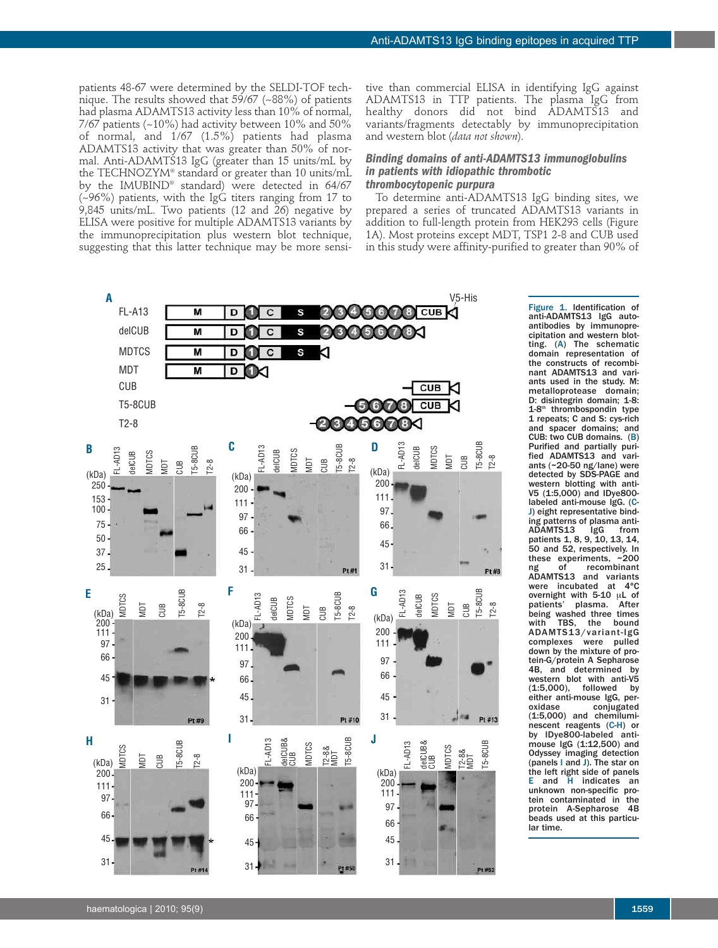patients 48-67 were determined by the SELDI-TOF technique. The results showed that 59/67 (~88%) of patients had plasma ADAMTS13 activity less than 10% of normal,  $7/67$  patients (~10%) had activity between 10% and 50% of normal, and 1/67 (1.5%) patients had plasma ADAMTS13 activity that was greater than 50% of normal. Anti-ADAMTS13 IgG (greater than 15 units/mL by the TECHNOZYM® standard or greater than 10 units/mL by the IMUBIND® standard) were detected in 64/67 (~96%) patients, with the IgG titers ranging from 17 to 9,845 units/mL. Two patients (12 and 26) negative by ELISA were positive for multiple ADAMTS13 variants by the immunoprecipitation plus western blot technique, suggesting that this latter technique may be more sensi-

tive than commercial ELISA in identifying IgG against ADAMTS13 in TTP patients. The plasma IgG from healthy donors did not bind ADAMTS13 and variants/fragments detectably by immunoprecipitation and western blot (*data not shown*).

# *Binding domains of anti-ADAMTS13 immunoglobulins in patients with idiopathic thrombotic thrombocytopenic purpura*

To determine anti-ADAMTS13 IgG binding sites, we prepared a series of truncated ADAMTS13 variants in addition to full-length protein from HEK293 cells (Figure 1A). Most proteins except MDT, TSP1 2-8 and CUB used in this study were affinity-purified to greater than 90% of



anti-ADAMTS13 IgG autoantibodies by immunoprecipitation and western blotting. (A) The schematic domain representation of the constructs of recombinant ADAMTS13 and variants used in the study. M: metalloprotease domain; D: disintegrin domain; 1-8: 1-8<sup>th</sup> thrombospondin type 1 repeats; C and S: cys-rich and spacer domains; and CUB: two CUB domains. (B) Purified and partially purified ADAMTS13 and variants (~20-50 ng/lane) were detected by SDS-PAGE and western blotting with anti-V5 (1:5,000) and IDye800 labeled anti-mouse IgG. (C-J) eight representative binding patterns of plasma anti-ADAMTS13 IgG from patients 1, 8, 9, 10, 13, 14, 50 and 52, respectively. In these experiments, ~200<br>ng of recombinant recombinant ADAMTS13 and variants<br>were incubated at 4°C were incubated overnight with 5-10 µL of<br>patients' plasma. After being washed three times with TBS, the bound ADAMTS13/variant-IgG complexes were pulled down by the mixture of protein-G/protein A Sepharose<br>4B. and determined by 4B, and determined western blot with anti-V5 (1:5,000), followed by either anti-mouse IgG, per-<br>oxidase conjugated conjugated (1:5,000) and chemiluminescent reagents (C-H) or by IDye800-labeled antimouse IgG (1:12,500) and Odyssey imaging detection (panels I and J). The star on the left right side of panels E and H indicates an unknown non-specific protein contaminated in the protein A-Sepharose 4B beads used at this particular time.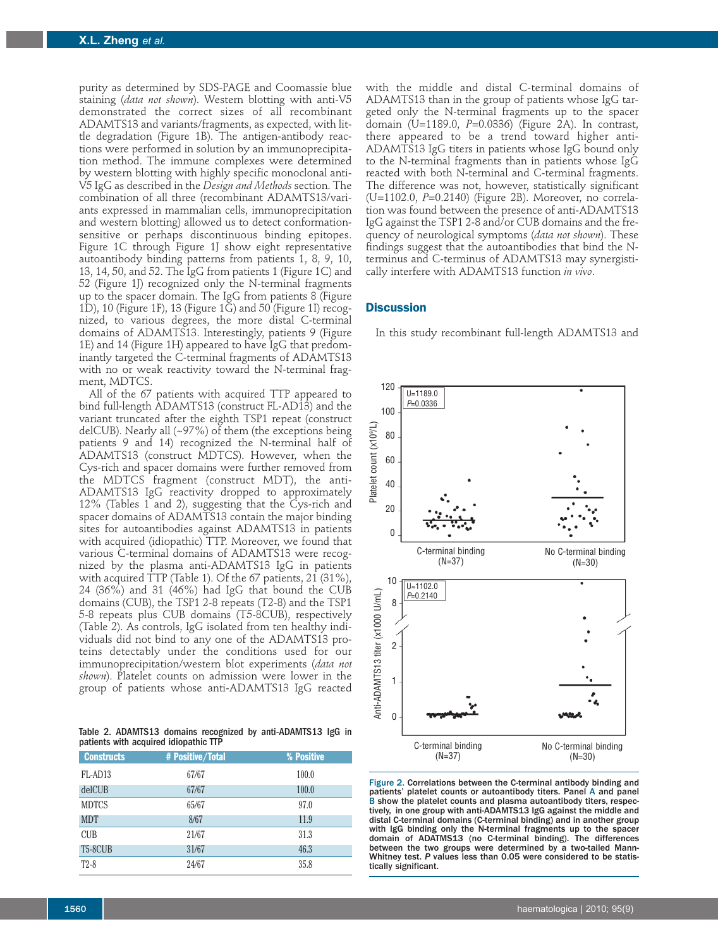purity as determined by SDS-PAGE and Coomassie blue staining (*data not shown*). Western blotting with anti-V5 demonstrated the correct sizes of all recombinant ADAMTS13 and variants/fragments, as expected, with little degradation (Figure 1B). The antigen-antibody reactions were performed in solution by an immunoprecipitation method. The immune complexes were determined by western blotting with highly specific monoclonal anti-V5 IgG as described in the *Design and Methods* section. The combination of all three (recombinant ADAMTS13/variants expressed in mammalian cells, immunoprecipitation and western blotting) allowed us to detect conformationsensitive or perhaps discontinuous binding epitopes. Figure 1C through Figure 1J show eight representative autoantibody binding patterns from patients 1, 8, 9, 10, 13, 14, 50, and 52. The IgG from patients 1 (Figure 1C) and 52 (Figure 1J) recognized only the N-terminal fragments up to the spacer domain. The IgG from patients 8 (Figure 1D), 10 (Figure 1F), 13 (Figure 1G) and 50 (Figure 1I) recognized, to various degrees, the more distal C-terminal domains of ADAMTS13. Interestingly, patients 9 (Figure 1E) and 14 (Figure 1H) appeared to have IgG that predominantly targeted the C-terminal fragments of ADAMTS13 with no or weak reactivity toward the N-terminal fragment, MDTCS.

All of the 67 patients with acquired TTP appeared to bind full-length ADAMTS13 (construct FL-AD13) and the variant truncated after the eighth TSP1 repeat (construct delCUB). Nearly all  $(\sim)97\%$  of them (the exceptions being patients 9 and 14) recognized the N-terminal half of ADAMTS13 (construct MDTCS). However, when the Cys-rich and spacer domains were further removed from the MDTCS fragment (construct MDT), the anti-ADAMTS13 IgG reactivity dropped to approximately 12% (Tables 1 and 2), suggesting that the Cys-rich and spacer domains of ADAMTS13 contain the major binding sites for autoantibodies against ADAMTS13 in patients with acquired (idiopathic) TTP. Moreover, we found that various C-terminal domains of ADAMTS13 were recognized by the plasma anti-ADAMTS13 IgG in patients with acquired TTP (Table 1). Of the 67 patients, 21 (31%), 24 (36%) and 31 (46%) had IgG that bound the CUB domains (CUB), the TSP1 2-8 repeats (T2-8) and the TSP1 5-8 repeats plus CUB domains (T5-8CUB), respectively (Table 2). As controls, IgG isolated from ten healthy individuals did not bind to any one of the ADAMTS13 proteins detectably under the conditions used for our immunoprecipitation/western blot experiments (*data not shown*). Platelet counts on admission were lower in the group of patients whose anti-ADAMTS13 IgG reacted

Table 2. ADAMTS13 domains recognized by anti-ADAMTS13 IgG in patients with acquired idiopathic TTP

| <b>Constructs</b>    | # Positive/Total | % Positive |
|----------------------|------------------|------------|
| FL-AD13              | 67/67            | 100.0      |
| delCUB               | 67/67            | 100.0      |
| <b>MDTCS</b>         | 65/67            | 97.0       |
| <b>MDT</b>           | 8/67             | 11.9       |
| <b>CUB</b>           | 21/67            | 31.3       |
| T <sub>5</sub> -8CUB | 31/67            | 46.3       |
| $T2-8$               | 24/67            | 35.8       |

with the middle and distal C-terminal domains of ADAMTS13 than in the group of patients whose IgG targeted only the N-terminal fragments up to the spacer domain (U=1189.0, *P*=0.0336) (Figure 2A). In contrast, there appeared to be a trend toward higher anti-ADAMTS13 IgG titers in patients whose IgG bound only to the N-terminal fragments than in patients whose IgG reacted with both N-terminal and C-terminal fragments. The difference was not, however, statistically significant (U=1102.0, *P*=0.2140) (Figure 2B). Moreover, no correlation was found between the presence of anti-ADAMTS13 IgG against the TSP1 2-8 and/or CUB domains and the frequency of neurological symptoms (*data not shown*). These findings suggest that the autoantibodies that bind the Nterminus and C-terminus of ADAMTS13 may synergistically interfere with ADAMTS13 function *in vivo*.

# **Discussion**

In this study recombinant full-length ADAMTS13 and



Figure 2. Correlations between the C-terminal antibody binding and patients' platelet counts or autoantibody titers. Panel A and panel B show the platelet counts and plasma autoantibody titers, respectively, in one group with anti-ADAMTS13 IgG against the middle and distal C-terminal domains (C-terminal binding) and in another group with IgG binding only the N-terminal fragments up to the spacer domain of ADATMS13 (no C-terminal binding). The differences between the two groups were determined by a two-tailed Mann-Whitney test. *P* values less than 0.05 were considered to be statis-<br>tically significant.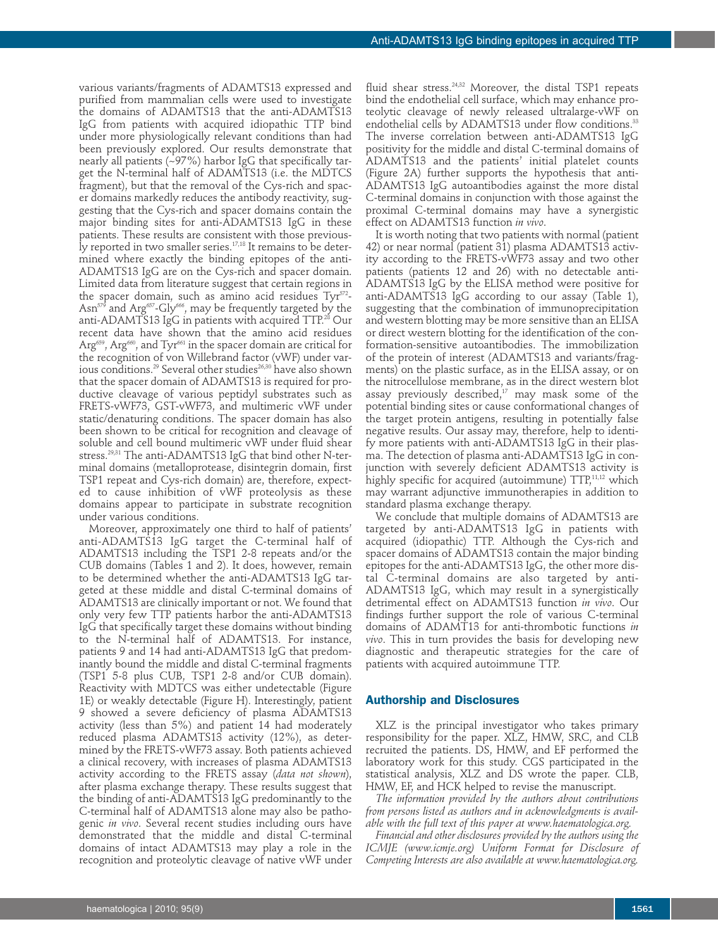various variants/fragments of ADAMTS13 expressed and purified from mammalian cells were used to investigate the domains of ADAMTS13 that the anti-ADAMTS13 IgG from patients with acquired idiopathic TTP bind under more physiologically relevant conditions than had been previously explored. Our results demonstrate that nearly all patients (~97%) harbor IgG that specifically target the N-terminal half of ADAMTS13 (i.e. the MDTCS fragment), but that the removal of the Cys-rich and spacer domains markedly reduces the antibody reactivity, suggesting that the Cys-rich and spacer domains contain the major binding sites for anti-ADAMTS13 IgG in these patients. These results are consistent with those previously reported in two smaller series. 17,18 It remains to be determined where exactly the binding epitopes of the anti-ADAMTS13 IgG are on the Cys-rich and spacer domain. Limited data from literature suggest that certain regions in the spacer domain, such as amino acid residues Tyr 572 - Asn $^{\mathrm{579}}$  and Arg $^{\mathrm{657}}$ -Gly $^{\mathrm{666}}$ , may be frequently targeted by the anti-ADAMTS13 IgG in patients with acquired TTP. $^\mathrm{28}$  Our recent data have shown that the amino acid residues Arg<sup>659</sup>, Arg<sup>660</sup>, and Tyr<sup>661</sup> in the spacer domain are critical for the recognition of von Willebrand factor (vWF) under various conditions. $^{29}$  Several other studies $^{26,30}$  have also shown that the spacer domain of ADAMTS13 is required for productive cleavage of various peptidyl substrates such as FRETS-vWF73, GST-vWF73, and multimeric vWF under static/denaturing conditions. The spacer domain has also been shown to be critical for recognition and cleavage of soluble and cell bound multimeric vWF under fluid shear stress. 29,31 The anti-ADAMTS13 IgG that bind other N-terminal domains (metalloprotease, disintegrin domain, first TSP1 repeat and Cys-rich domain) are, therefore, expected to cause inhibition of vWF proteolysis as these domains appear to participate in substrate recognition under various conditions.

Moreover, approximately one third to half of patients' anti-ADAMTS13 IgG target the C-terminal half of ADAMTS13 including the TSP1 2-8 repeats and/or the CUB domains (Tables 1 and 2). It does, however, remain to be determined whether the anti-ADAMTS13 IgG targeted at these middle and distal C-terminal domains of ADAMTS13 are clinically important or not. We found that only very few TTP patients harbor the anti-ADAMTS13 IgG that specifically target these domains without binding to the N-terminal half of ADAMTS13. For instance, patients 9 and 14 had anti-ADAMTS13 IgG that predominantly bound the middle and distal C-terminal fragments (TSP1 5-8 plus CUB, TSP1 2-8 and/or CUB domain). Reactivity with MDTCS was either undetectable (Figure 1E) or weakly detectable (Figure H). Interestingly, patient 9 showed a severe deficiency of plasma ADAMTS13 activity (less than 5%) and patient 14 had moderately reduced plasma ADAMTS13 activity (12%), as determined by the FRETS-vWF73 assay. Both patients achieved a clinical recovery, with increases of plasma ADAMTS13 activity according to the FRETS assay (*data not shown*), after plasma exchange therapy. These results suggest that the binding of anti-ADAMTS13 IgG predominantly to the C-terminal half of ADAMTS13 alone may also be pathogenic *in vivo*. Several recent studies including ours have demonstrated that the middle and distal C-terminal domains of intact ADAMTS13 may play a role in the recognition and proteolytic cleavage of native vWF under

fluid shear stress. 24,32 Moreover, the distal TSP1 repeats bind the endothelial cell surface, which may enhance proteolytic cleavage of newly released ultralarge-vWF on endothelial cells by ADAMTS13 under flow conditions. 33 The inverse correlation between anti-ADAMTS13 IgG positivity for the middle and distal C-terminal domains of ADAMTS13 and the patients' initial platelet counts (Figure 2A) further supports the hypothesis that anti-ADAMTS13 IgG autoantibodies against the more distal C-terminal domains in conjunction with those against the proximal C-terminal domains may have a synergistic effect on ADAMTS13 function *in vivo*.

It is worth noting that two patients with normal (patient 42) or near normal (patient 31) plasma ADAMTS13 activity according to the FRETS-vWF73 assay and two other patients (patients 12 and 26) with no detectable anti-ADAMTS13 IgG by the ELISA method were positive for anti-ADAMTS13 IgG according to our assay (Table 1), suggesting that the combination of immunoprecipitation and western blotting may be more sensitive than an ELISA or direct western blotting for the identification of the conformation-sensitive autoantibodies. The immobilization of the protein of interest (ADAMTS13 and variants/fragments) on the plastic surface, as in the ELISA assay, or on the nitrocellulose membrane, as in the direct western blot assay previously described, <sup>17</sup> may mask some of the potential binding sites or cause conformational changes of the target protein antigens, resulting in potentially false negative results. Our assay may, therefore, help to identify more patients with anti-ADAMTS13 IgG in their plasma. The detection of plasma anti-ADAMTS13 IgG in conjunction with severely deficient ADAMTS13 activity is highly specific for acquired (autoimmune) TTP, 11,12 which may warrant adjunctive immunotherapies in addition to standard plasma exchange therapy.

We conclude that multiple domains of ADAMTS13 are targeted by anti-ADAMTS13 IgG in patients with acquired (idiopathic) TTP. Although the Cys-rich and spacer domains of ADAMTS13 contain the major binding epitopes for the anti-ADAMTS13 IgG, the other more distal C-terminal domains are also targeted by anti-ADAMTS13 IgG, which may result in a synergistically detrimental effect on ADAMTS13 function *in vivo*. Our findings further support the role of various C-terminal domains of ADAMT13 for anti-thrombotic functions *in vivo*. This in turn provides the basis for developing new diagnostic and therapeutic strategies for the care of patients with acquired autoimmune TTP.

# **Authorship and Disclosures**

XLZ is the principal investigator who takes primary responsibility for the paper. XLZ, HMW, SRC, and CLB recruited the patients. DS, HMW, and EF performed the laboratory work for this study. CGS participated in the statistical analysis, XLZ and DS wrote the paper. CLB, HMW, EF, and HCK helped to revise the manuscript.

*The information provided by the authors about contributions from persons listed as authors and in acknowledgments is available with the full text of this paper at www.haematologica.org.*

*Financial and other disclosures provided by the authors using the ICMJE (www.icmje.org) Uniform Format for Disclosure of Competing Interests are also available at www.haematologica.org.*